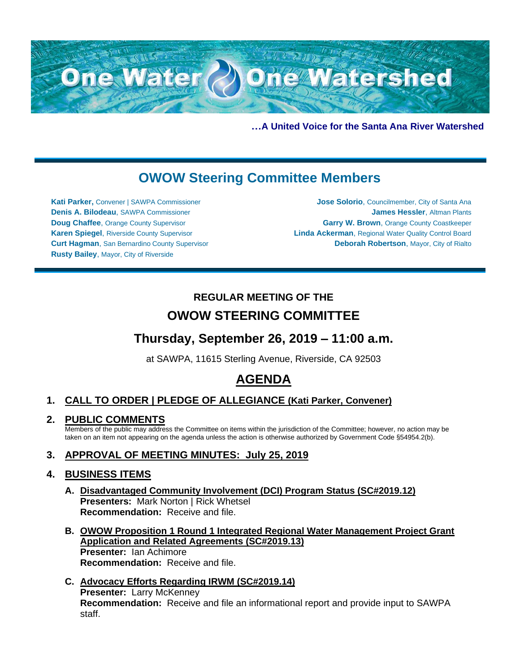

**…A United Voice for the Santa Ana River Watershed**

# **OWOW Steering Committee Members**

**Kati Parker,** Convener | SAWPA Commissioner **Denis A. Bilodeau**, SAWPA Commissioner **Doug Chaffee**, Orange County Supervisor **Karen Spiegel**, Riverside County Supervisor **Curt Hagman**, San Bernardino County Supervisor **Rusty Bailey**, Mayor, City of Riverside

**Jose Solorio**, Councilmember, City of Santa Ana **James Hessler**, Altman Plants **Garry W. Brown**, Orange County Coastkeeper **Linda Ackerman**, Regional Water Quality Control Board **Deborah Robertson**, Mayor, City of Rialto

## **REGULAR MEETING OF THE OWOW STEERING COMMITTEE**

## **Thursday, September 26, 2019 – 11:00 a.m.**

at SAWPA, 11615 Sterling Avenue, Riverside, CA 92503

# **AGENDA**

## **1. CALL TO ORDER | PLEDGE OF ALLEGIANCE (Kati Parker, Convener)**

**2. PUBLIC COMMENTS**

Members of the public may address the Committee on items within the jurisdiction of the Committee; however, no action may be taken on an item not appearing on the agenda unless the action is otherwise authorized by Government Code §54954.2(b).

## **3. APPROVAL OF MEETING MINUTES: July 25, 2019**

### **4. BUSINESS ITEMS**

- **A. Disadvantaged Community Involvement (DCI) Program Status (SC#2019.12) Presenters: Mark Norton | Rick Whetsel Recommendation:** Receive and file.
- **B. OWOW Proposition 1 Round 1 Integrated Regional Water Management Project Grant Application and Related Agreements (SC#2019.13) Presenter:** Ian Achimore **Recommendation:** Receive and file.
- **C. Advocacy Efforts Regarding IRWM (SC#2019.14) Presenter:** Larry McKenney **Recommendation:** Receive and file an informational report and provide input to SAWPA staff.